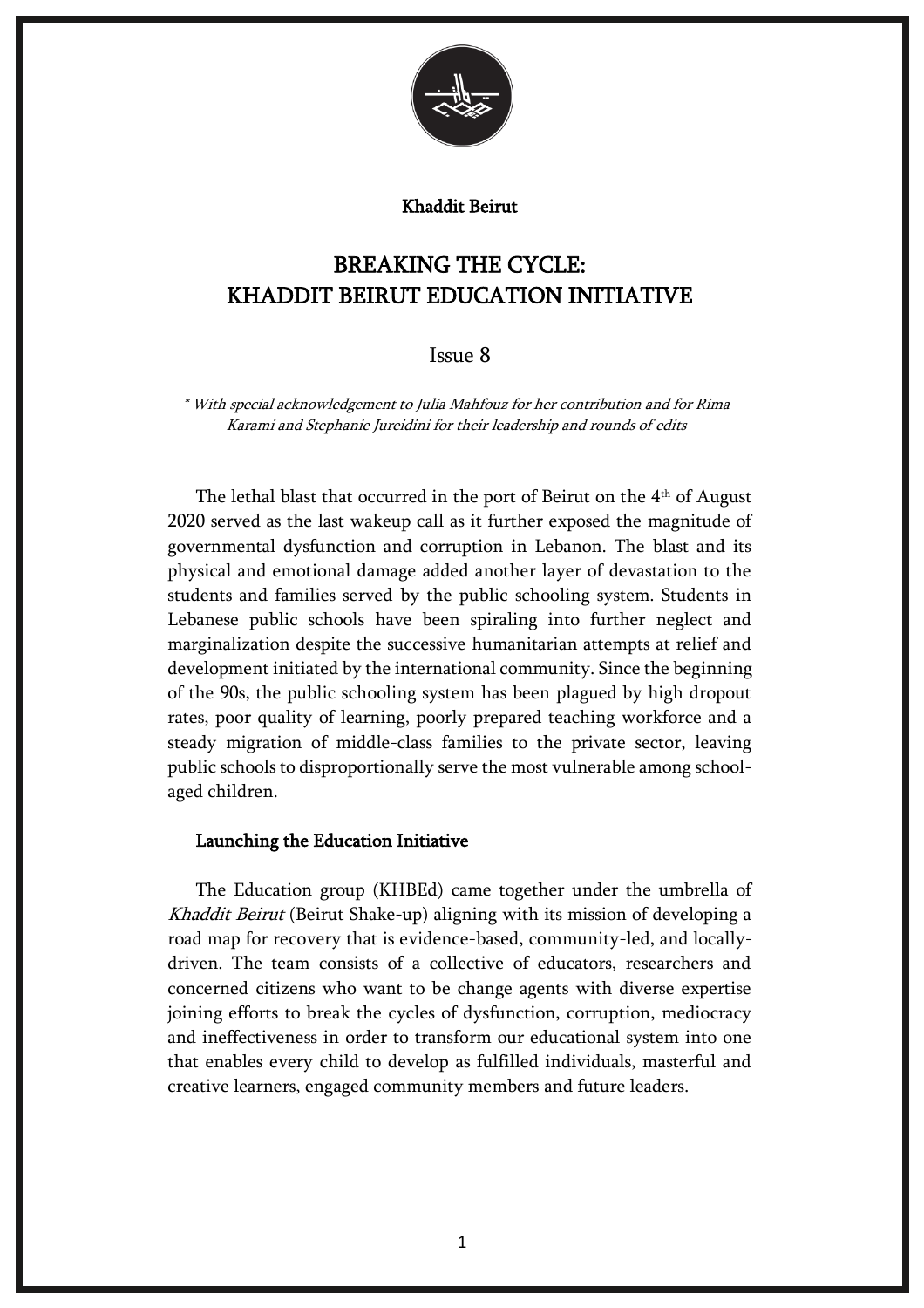

#### Khaddit Beirut

# BREAKING THE CYCLE: KHADDIT BEIRUT EDUCATION INITIATIVE

## Issue 8

\* With special acknowledgement to Julia Mahfouz for her contribution and for Rima Karami and Stephanie Jureidini for their leadership and rounds of edits

The lethal blast that occurred in the port of Beirut on the  $4<sup>th</sup>$  of August 2020 served as the last wakeup call as it further exposed the magnitude of governmental dysfunction and corruption in Lebanon. The blast and its physical and emotional damage added another layer of devastation to the students and families served by the public schooling system. Students in Lebanese public schools have been spiraling into further neglect and marginalization despite the successive humanitarian attempts at relief and development initiated by the international community. Since the beginning of the 90s, the public schooling system has been plagued by high dropout rates, poor quality of learning, poorly prepared teaching workforce and a steady migration of middle-class families to the private sector, leaving public schools to disproportionally serve the most vulnerable among schoolaged children.

#### Launching the Education Initiative

The Education group (KHBEd) came together under the umbrella of Khaddit Beirut (Beirut Shake-up) aligning with its mission of developing a road map for recovery that is evidence-based, community-led, and locallydriven. The team consists of a collective of educators, researchers and concerned citizens who want to be change agents with diverse expertise joining efforts to break the cycles of dysfunction, corruption, mediocracy and ineffectiveness in order to transform our educational system into one that enables every child to develop as fulfilled individuals, masterful and creative learners, engaged community members and future leaders.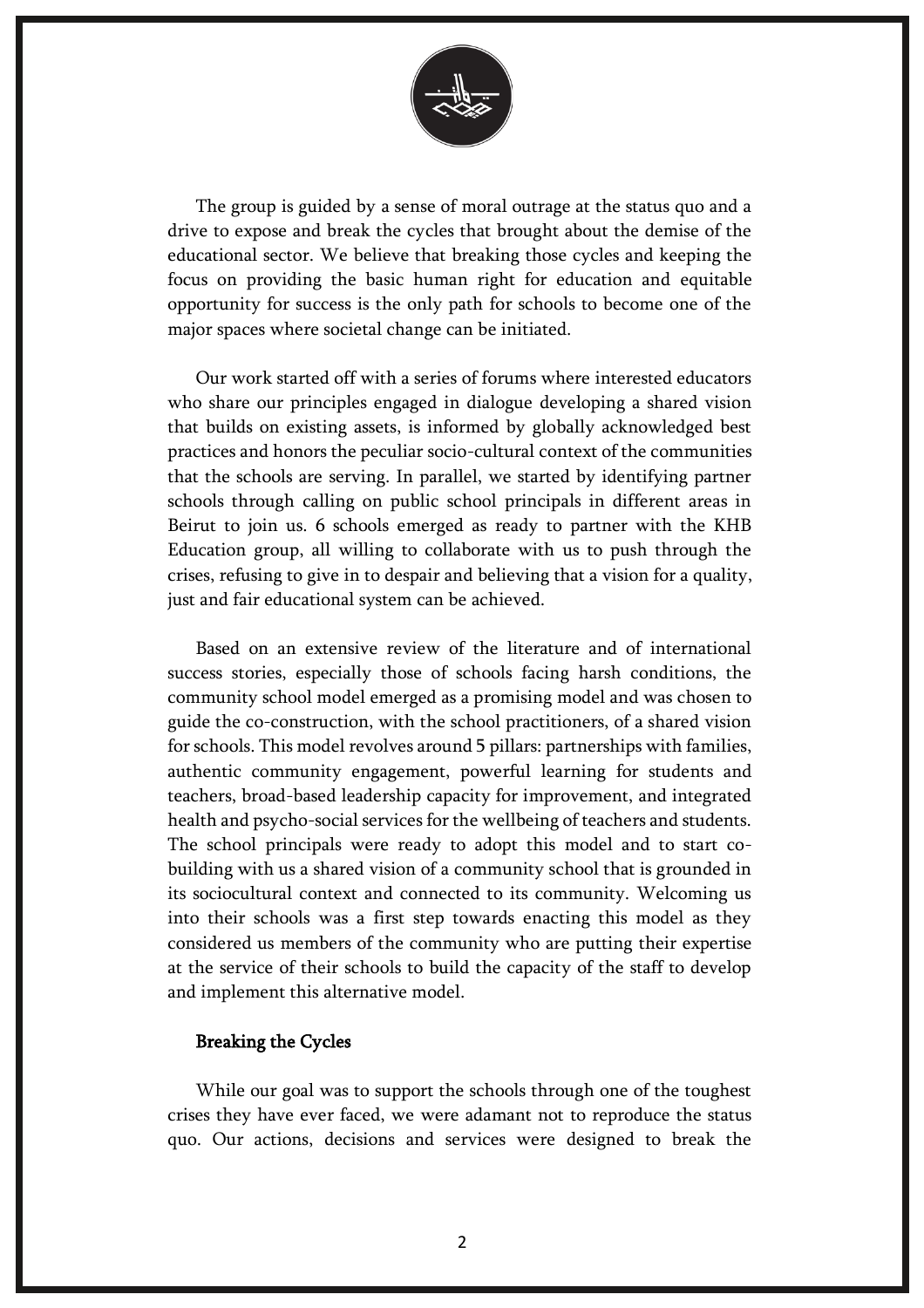

The group is guided by a sense of moral outrage at the status quo and a drive to expose and break the cycles that brought about the demise of the educational sector. We believe that breaking those cycles and keeping the focus on providing the basic human right for education and equitable opportunity for success is the only path for schools to become one of the major spaces where societal change can be initiated.

Our work started off with a series of forums where interested educators who share our principles engaged in dialogue developing a shared vision that builds on existing assets, is informed by globally acknowledged best practices and honors the peculiar socio-cultural context of the communities that the schools are serving. In parallel, we started by identifying partner schools through calling on public school principals in different areas in Beirut to join us. 6 schools emerged as ready to partner with the KHB Education group, all willing to collaborate with us to push through the crises, refusing to give in to despair and believing that a vision for a quality, just and fair educational system can be achieved.

Based on an extensive review of the literature and of international success stories, especially those of schools facing harsh conditions, the community school model emerged as a promising model and was chosen to guide the co-construction, with the school practitioners, of a shared vision for schools. This model revolves around 5 pillars: partnerships with families, authentic community engagement, powerful learning for students and teachers, broad-based leadership capacity for improvement, and integrated health and psycho-social services for the wellbeing of teachers and students. The school principals were ready to adopt this model and to start cobuilding with us a shared vision of a community school that is grounded in its sociocultural context and connected to its community. Welcoming us into their schools was a first step towards enacting this model as they considered us members of the community who are putting their expertise at the service of their schools to build the capacity of the staff to develop and implement this alternative model.

## Breaking the Cycles

While our goal was to support the schools through one of the toughest crises they have ever faced, we were adamant not to reproduce the status quo. Our actions, decisions and services were designed to break the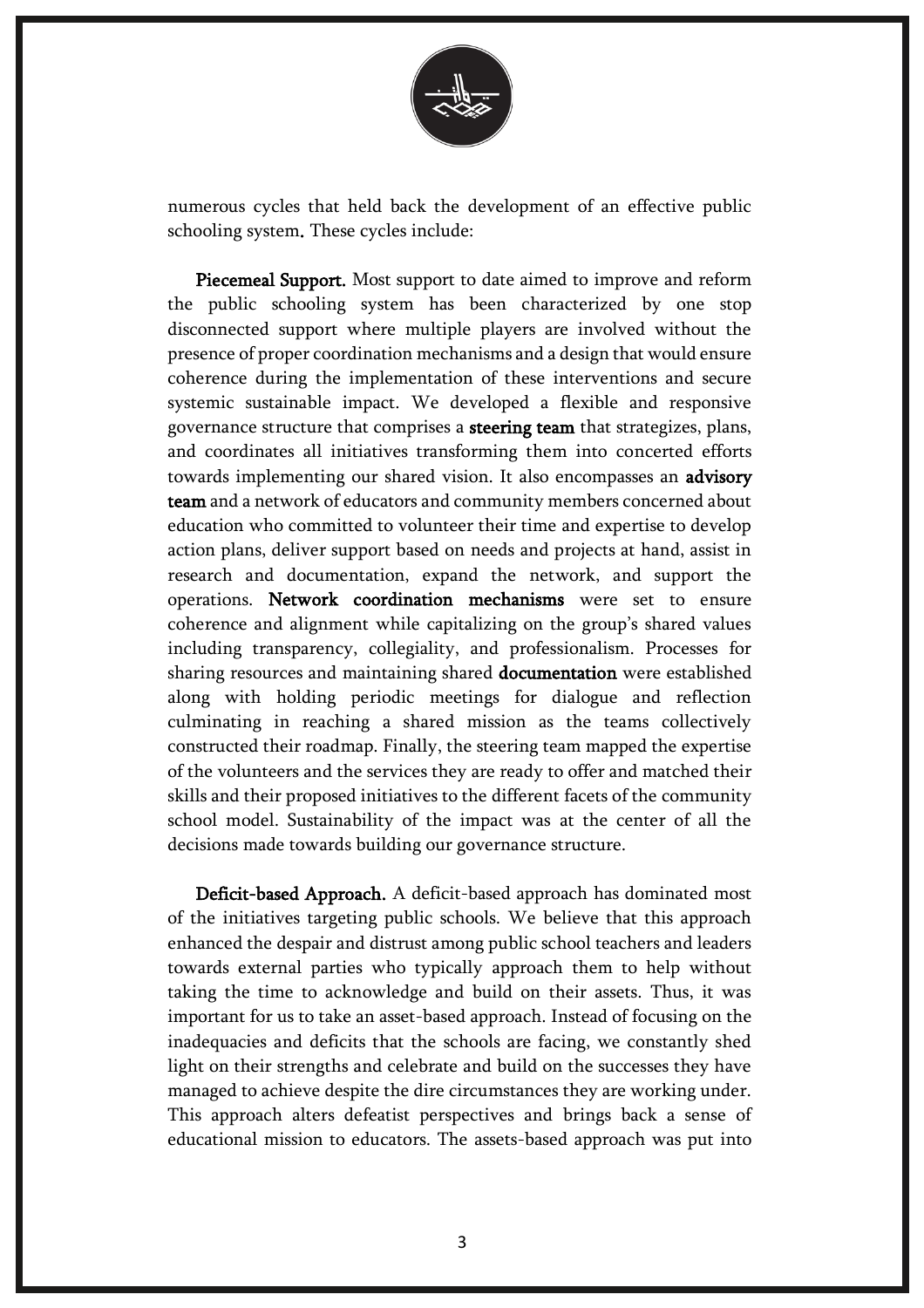

numerous cycles that held back the development of an effective public schooling system. These cycles include:

Piecemeal Support. Most support to date aimed to improve and reform the public schooling system has been characterized by one stop disconnected support where multiple players are involved without the presence of proper coordination mechanisms and a design that would ensure coherence during the implementation of these interventions and secure systemic sustainable impact. We developed a flexible and responsive governance structure that comprises a steering team that strategizes, plans, and coordinates all initiatives transforming them into concerted efforts towards implementing our shared vision. It also encompasses an advisory team and a network of educators and community members concerned about education who committed to volunteer their time and expertise to develop action plans, deliver support based on needs and projects at hand, assist in research and documentation, expand the network, and support the operations. Network coordination mechanisms were set to ensure coherence and alignment while capitalizing on the group's shared values including transparency, collegiality, and professionalism. Processes for sharing resources and maintaining shared documentation were established along with holding periodic meetings for dialogue and reflection culminating in reaching a shared mission as the teams collectively constructed their roadmap. Finally, the steering team mapped the expertise of the volunteers and the services they are ready to offer and matched their skills and their proposed initiatives to the different facets of the community school model. Sustainability of the impact was at the center of all the decisions made towards building our governance structure.

Deficit-based Approach. A deficit-based approach has dominated most of the initiatives targeting public schools. We believe that this approach enhanced the despair and distrust among public school teachers and leaders towards external parties who typically approach them to help without taking the time to acknowledge and build on their assets. Thus, it was important for us to take an asset-based approach. Instead of focusing on the inadequacies and deficits that the schools are facing, we constantly shed light on their strengths and celebrate and build on the successes they have managed to achieve despite the dire circumstances they are working under. This approach alters defeatist perspectives and brings back a sense of educational mission to educators. The assets-based approach was put into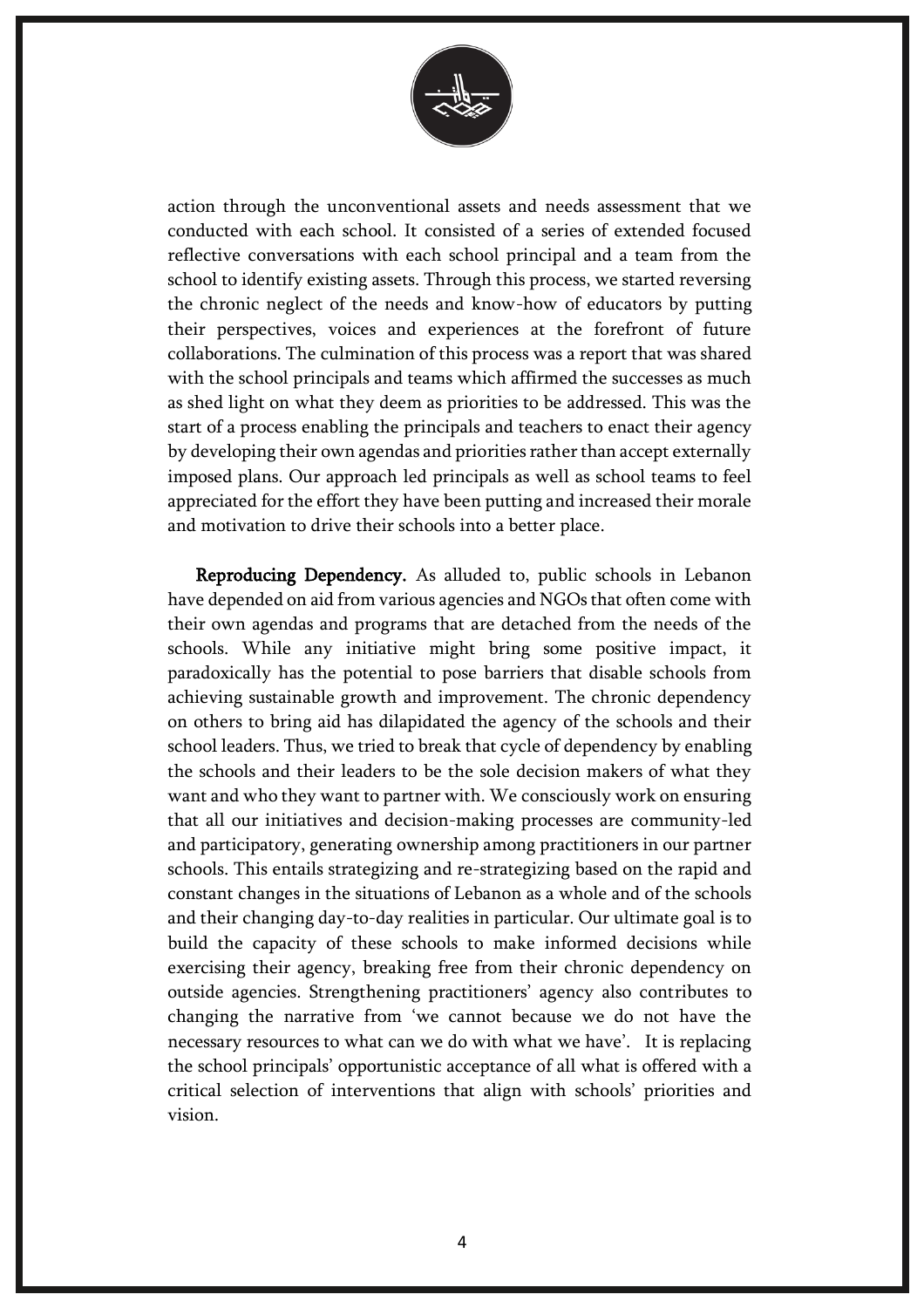

action through the unconventional assets and needs assessment that we conducted with each school. It consisted of a series of extended focused reflective conversations with each school principal and a team from the school to identify existing assets. Through this process, we started reversing the chronic neglect of the needs and know-how of educators by putting their perspectives, voices and experiences at the forefront of future collaborations. The culmination of this process was a report that was shared with the school principals and teams which affirmed the successes as much as shed light on what they deem as priorities to be addressed. This was the start of a process enabling the principals and teachers to enact their agency by developing their own agendas and priorities rather than accept externally imposed plans. Our approach led principals as well as school teams to feel appreciated for the effort they have been putting and increased their morale and motivation to drive their schools into a better place.

Reproducing Dependency. As alluded to, public schools in Lebanon have depended on aid from various agencies and NGOs that often come with their own agendas and programs that are detached from the needs of the schools. While any initiative might bring some positive impact, it paradoxically has the potential to pose barriers that disable schools from achieving sustainable growth and improvement. The chronic dependency on others to bring aid has dilapidated the agency of the schools and their school leaders. Thus, we tried to break that cycle of dependency by enabling the schools and their leaders to be the sole decision makers of what they want and who they want to partner with. We consciously work on ensuring that all our initiatives and decision-making processes are community-led and participatory, generating ownership among practitioners in our partner schools. This entails strategizing and re-strategizing based on the rapid and constant changes in the situations of Lebanon as a whole and of the schools and their changing day-to-day realities in particular. Our ultimate goal is to build the capacity of these schools to make informed decisions while exercising their agency, breaking free from their chronic dependency on outside agencies. Strengthening practitioners' agency also contributes to changing the narrative from 'we cannot because we do not have the necessary resources to what can we do with what we have'. It is replacing the school principals' opportunistic acceptance of all what is offered with a critical selection of interventions that align with schools' priorities and vision.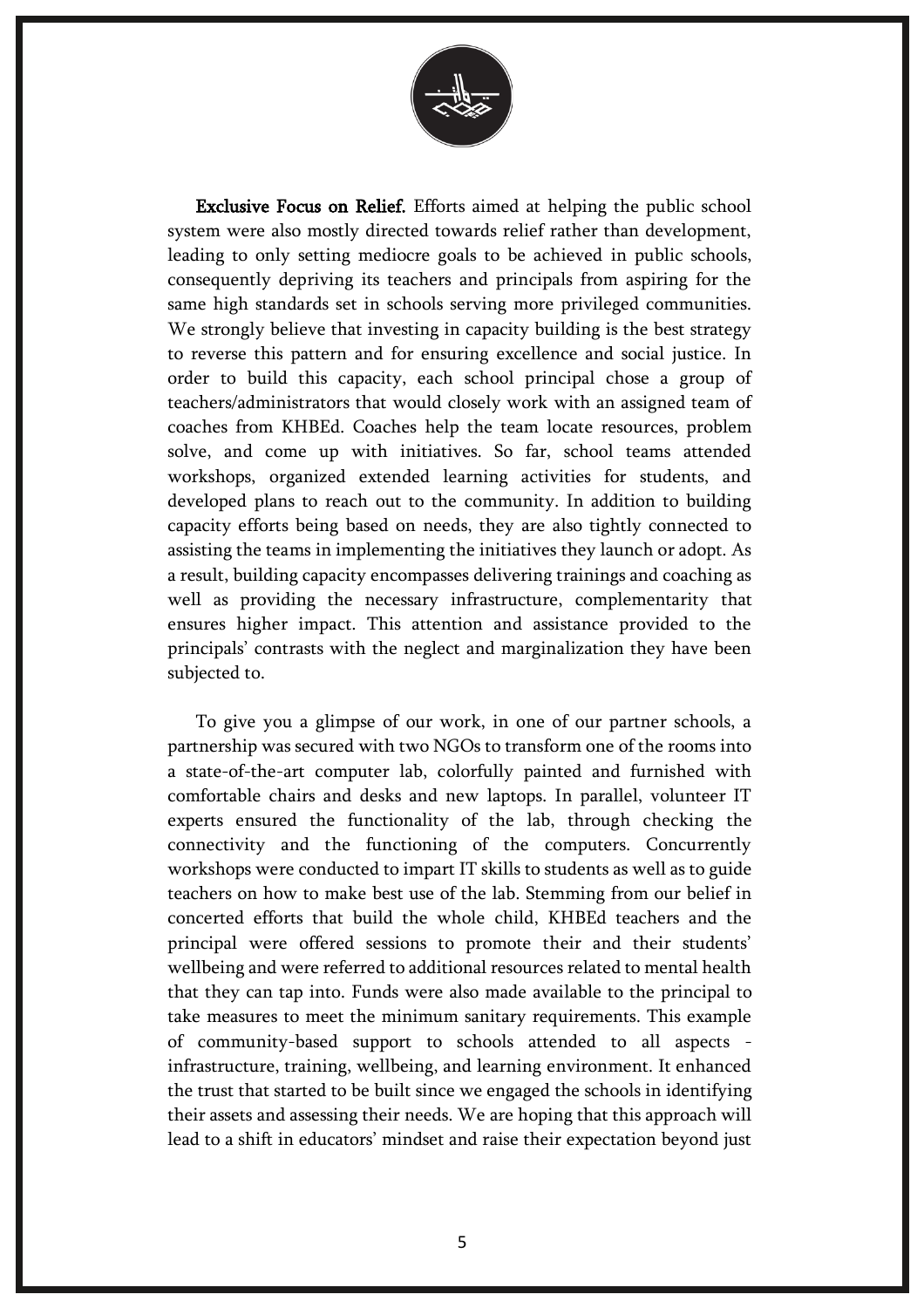

Exclusive Focus on Relief. Efforts aimed at helping the public school system were also mostly directed towards relief rather than development, leading to only setting mediocre goals to be achieved in public schools, consequently depriving its teachers and principals from aspiring for the same high standards set in schools serving more privileged communities. We strongly believe that investing in capacity building is the best strategy to reverse this pattern and for ensuring excellence and social justice. In order to build this capacity, each school principal chose a group of teachers/administrators that would closely work with an assigned team of coaches from KHBEd. Coaches help the team locate resources, problem solve, and come up with initiatives. So far, school teams attended workshops, organized extended learning activities for students, and developed plans to reach out to the community. In addition to building capacity efforts being based on needs, they are also tightly connected to assisting the teams in implementing the initiatives they launch or adopt. As a result, building capacity encompasses delivering trainings and coaching as well as providing the necessary infrastructure, complementarity that ensures higher impact. This attention and assistance provided to the principals' contrasts with the neglect and marginalization they have been subjected to.

To give you a glimpse of our work, in one of our partner schools, a partnership was secured with two NGOs to transform one of the rooms into a state-of-the-art computer lab, colorfully painted and furnished with comfortable chairs and desks and new laptops. In parallel, volunteer IT experts ensured the functionality of the lab, through checking the connectivity and the functioning of the computers. Concurrently workshops were conducted to impart IT skills to students as well as to guide teachers on how to make best use of the lab. Stemming from our belief in concerted efforts that build the whole child, KHBEd teachers and the principal were offered sessions to promote their and their students' wellbeing and were referred to additional resources related to mental health that they can tap into. Funds were also made available to the principal to take measures to meet the minimum sanitary requirements. This example of community-based support to schools attended to all aspects infrastructure, training, wellbeing, and learning environment. It enhanced the trust that started to be built since we engaged the schools in identifying their assets and assessing their needs. We are hoping that this approach will lead to a shift in educators' mindset and raise their expectation beyond just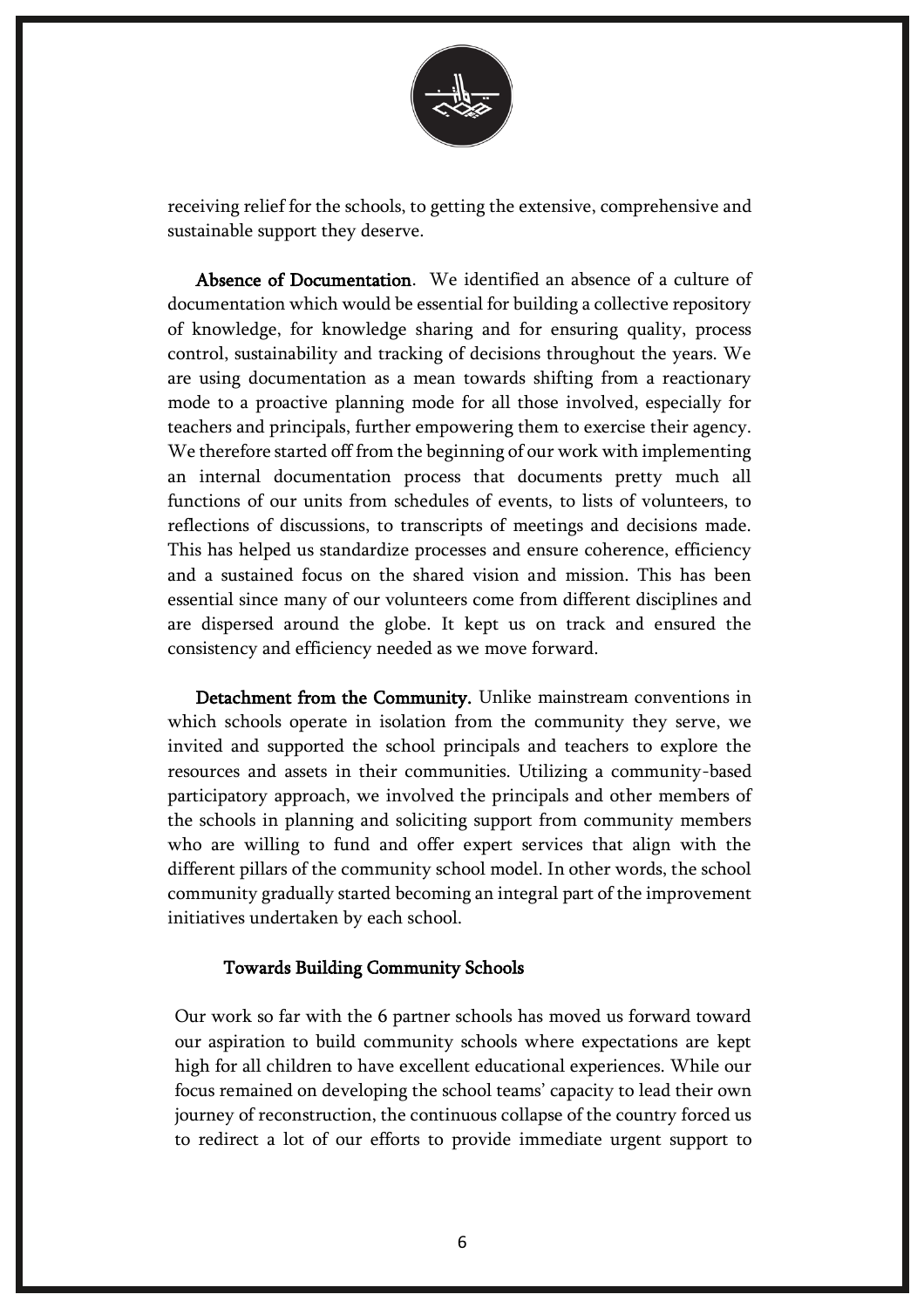

receiving relief for the schools, to getting the extensive, comprehensive and sustainable support they deserve.

Absence of Documentation. We identified an absence of a culture of documentation which would be essential for building a collective repository of knowledge, for knowledge sharing and for ensuring quality, process control, sustainability and tracking of decisions throughout the years. We are using documentation as a mean towards shifting from a reactionary mode to a proactive planning mode for all those involved, especially for teachers and principals, further empowering them to exercise their agency. We therefore started off from the beginning of our work with implementing an internal documentation process that documents pretty much all functions of our units from schedules of events, to lists of volunteers, to reflections of discussions, to transcripts of meetings and decisions made. This has helped us standardize processes and ensure coherence, efficiency and a sustained focus on the shared vision and mission. This has been essential since many of our volunteers come from different disciplines and are dispersed around the globe. It kept us on track and ensured the consistency and efficiency needed as we move forward.

Detachment from the Community. Unlike mainstream conventions in which schools operate in isolation from the community they serve, we invited and supported the school principals and teachers to explore the resources and assets in their communities. Utilizing a community-based participatory approach, we involved the principals and other members of the schools in planning and soliciting support from community members who are willing to fund and offer expert services that align with the different pillars of the community school model. In other words, the school community gradually started becoming an integral part of the improvement initiatives undertaken by each school.

## Towards Building Community Schools

Our work so far with the 6 partner schools has moved us forward toward our aspiration to build community schools where expectations are kept high for all children to have excellent educational experiences. While our focus remained on developing the school teams' capacity to lead their own journey of reconstruction, the continuous collapse of the country forced us to redirect a lot of our efforts to provide immediate urgent support to